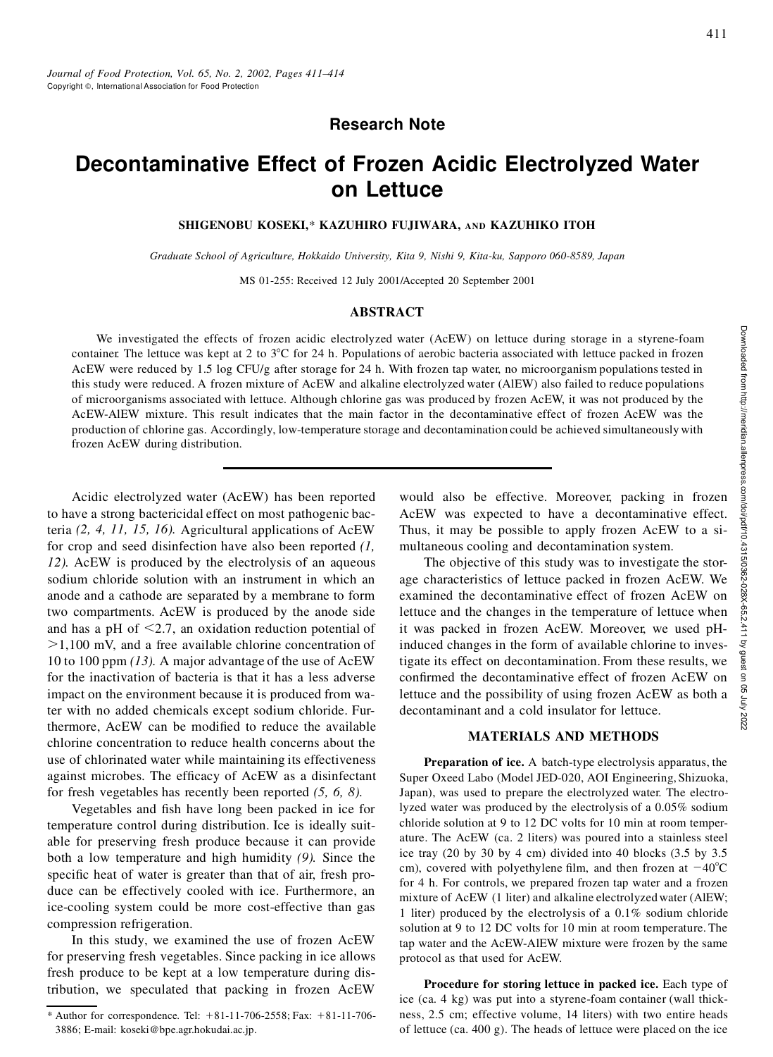## **Research Note**

# **Decontaminative Effect of Frozen Acidic Electrolyzed Water on Lettuce**

#### **SHIGENOBU KOSEKI,**\* **KAZUHIRO FUJIWARA, AND KAZUHIKO ITOH**

*Graduate School of Agriculture, Hokkaido University, Kita 9, Nishi 9, Kita-ku, Sapporo 060-8589, Japan*

MS 01-255: Received 12 July 2001/Accepted 20 September 2001

#### **ABSTRACT**

We investigated the effects of frozen acidic electrolyzed water (AcEW) on lettuce during storage in a styrene-foam container. The lettuce was kept at 2 to  $3^{\circ}$ C for 24 h. Populations of aerobic bacteria associated with lettuce packed in frozen AcEW were reduced by 1.5 log CFU/g after storage for 24 h. With frozen tap water, no microorganism populations tested in this study were reduced. A frozen mixture of AcEW and alkaline electrolyzed water (AlEW) also failed to reduce populations of microorganisms associated with lettuce. Although chlorine gas was produced by frozen AcEW, it was not produced by the AcEW-AlEW mixture. This result indicates that the main factor in the decontaminative effect of frozen AcEW was the production of chlorine gas. Accordingly, low-temperature storage and decontamination could be achieved simultaneously with frozen AcEW during distribution.

Acidic electrolyzed water (AcEW) has been reported to have a strong bactericidal effect on most pathogenic bacteria *(2, 4, 11, 15, 16).* Agricultural applications of AcEW for crop and seed disinfection have also been reported *(1, 12).* AcEW is produced by the electrolysis of an aqueous sodium chloride solution with an instrument in which an anode and a cathode are separated by a membrane to form two compartments. AcEW is produced by the anode side and has a pH of  $\leq$ 2.7, an oxidation reduction potential of  $>1,100$  mV, and a free available chlorine concentration of 10 to 100 ppm *(13).* A major advantage of the use of AcEW for the inactivation of bacteria is that it has a less adverse impact on the environment because it is produced from water with no added chemicals except sodium chloride. Furthermore. AcEW can be modified to reduce the available chlorine concentration to reduce health concerns about the use of chlorinated water while maintaining its effectiveness against microbes. The efficacy of AcEW as a disinfectant for fresh vegetables has recently been reported *(5, 6, 8).*

Vegetables and fish have long been packed in ice for temperature control during distribution. Ice is ideally suitable for preserving fresh produce because it can provide both a low temperature and high humidity *(9).* Since the specific heat of water is greater than that of air, fresh produce can be effectively cooled with ice. Furthermore, an ice-cooling system could be more cost-effective than gas compression refrigeration.

In this study, we examined the use of frozen AcEW for preserving fresh vegetables. Since packing in ice allows fresh produce to be kept at a low temperature during distribution, we speculated that packing in frozen AcEW AcEW was expected to have a decontaminative effect. Thus, it may be possible to apply frozen AcEW to a simultaneous cooling and decontamination system.

water (AcEW) on lettuce during storage in a styrene-foam<br>
of aerobic bacteria associated with lettuce packed in frozen<br>
in frozen tap water, no microorganism populations tested in<br>
electrolyzed water (AIEW) also failed to The objective of this study was to investigate the storage characteristics of lettuce packed in frozen AcEW. We examined the decontaminative effect of frozen AcEW on lettuce and the changes in the temperature of lettuce when it was packed in frozen AcEW. Moreover, we used pHinduced changes in the form of available chlorine to investigate its effect on decontamination. From these results, we confirmed the decontaminative effect of frozen AcEW on lettuce and the possibility of using frozen AcEW as both a decontaminant and a cold insulator for lettuce.

#### **MATERIALS AND METHODS**

**Preparation of ice.** A batch-type electrolysis apparatus, the Super Oxeed Labo (Model JED-020, AOI Engineering, Shizuoka, Japan), was used to prepare the electrolyzed water. The electrolyzed water was produced by the electrolysis of a 0.05% sodium chloride solution at 9 to 12 DC volts for 10 min at room temperature. The AcEW (ca. 2 liters) was poured into a stainless steel ice tray (20 by 30 by 4 cm) divided into 40 blocks (3.5 by 3.5 cm), covered with polyethylene film, and then frozen at  $-40^{\circ}$ C for 4 h. For controls, we prepared frozen tap water and a frozen mixture of AcEW (1 liter) and alkaline electrolyzedwater (AlEW; 1 liter) produced by the electrolysis of a 0.1% sodium chloride solution at 9 to 12 DC volts for 10 min at room temperature. The tap water and the AcEW-AlEW mixture were frozen by the same protocol as that used for AcEW.

**Procedure for storing lettuce in packed ice.** Each type of ice (ca. 4 kg) was put into a styrene-foam container (wall thickness, 2.5 cm; effective volume, 14 liters) with two entire heads of lettuce (ca. 400 g). The heads of lettuce were placed on the ice

<sup>\*</sup> Author for correspondence. Tel:  $+81-11-706-2558$ ; Fax:  $+81-11-706-$ 3886; E-mail: koseki@bpe.agr.hokudai.ac.jp.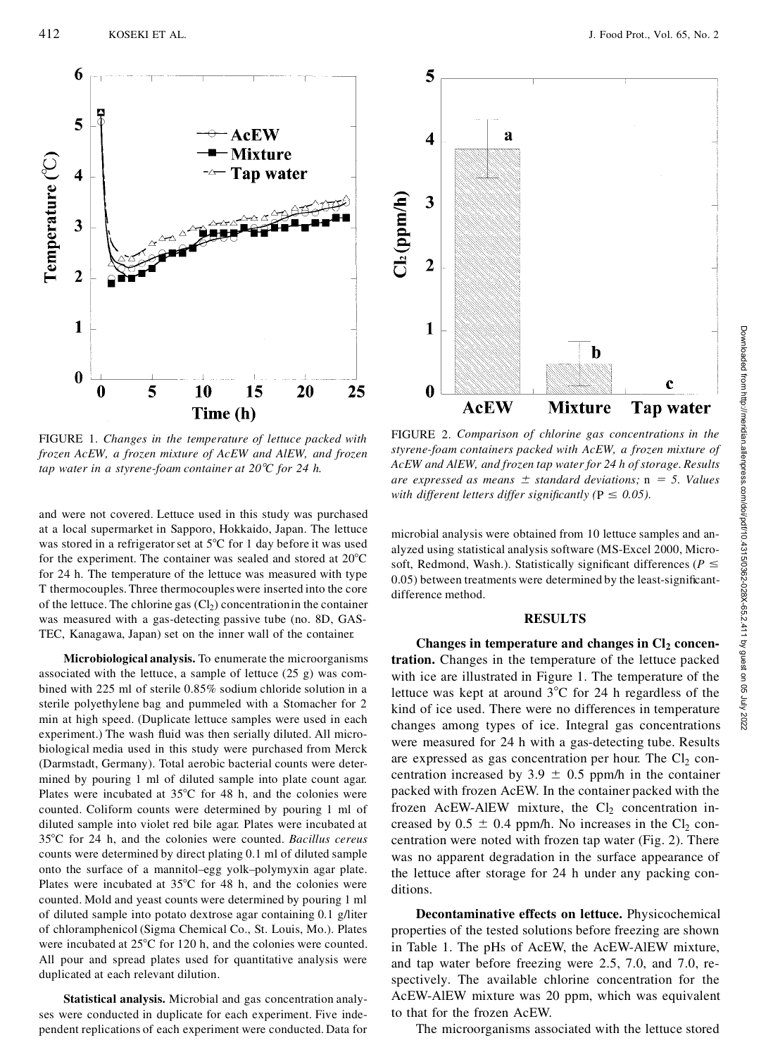

FIGURE 1. *Changes in the temperature of lettuce packed with frozen AcEW, a frozen mixture of AcEW and AlEW, and frozen tap water in a styrene-foam container at 208C for 24 h.*

and were not covered. Lettuce used in this study was purchased at a local supermarket in Sapporo, Hokkaido, Japan. The lettuce was stored in a refrigerator set at  $5^{\circ}C$  for 1 day before it was used for the experiment. The container was sealed and stored at  $20^{\circ}$ C for 24 h. The temperature of the lettuce was measured with type T thermocouples. Three thermocoupleswere inserted into the core of the lettuce. The chlorine gas  $(Cl<sub>2</sub>)$  concentration in the container was measured with a gas-detecting passive tube (no. 8D, GAS-TEC, Kanagawa, Japan) set on the inner wall of the container.

**Microbiological analysis.** To enumerate the microorganisms associated with the lettuce, a sample of lettuce (25 g) was com bined with 225 ml of sterile 0.85% sodium chloride solution in a sterile polyethylene bag and pummeled with a Stomacher for 2 min at high speed. (Duplicate lettuce samples were used in each experiment.) The wash fluid was then serially diluted. All microbiological media used in this study were purchased from Merck (Darmstadt, Germany). Total aerobic bacterial counts were determined by pouring 1 ml of diluted sample into plate count agar. Plates were incubated at  $35^{\circ}$ C for 48 h, and the colonies were counted. Coliform counts were determined by pouring 1 ml of diluted sample into violet red bile agar. Plates were incubated at 358C for 24 h, and the colonies were counted. *Bacillus cereus* counts were determined by direct plating 0.1 ml of diluted sample onto the surface of a mannitol–egg yolk–polymyxin agar plate. Plates were incubated at  $35^{\circ}$ C for 48 h, and the colonies were counted. Mold and yeast counts were determined by pouring 1 ml of diluted sample into potato dextrose agar containing 0.1 g/liter of chloramphenicol (Sigma Chemical Co., St. Louis, Mo.). Plates were incubated at  $25^{\circ}$ C for 120 h, and the colonies were counted. All pour and spread plates used for quantitative analysis were duplicated at each relevant dilution.

**Statistical analysis.** Microbial and gas concentration analyses were conducted in duplicate for each experiment. Five independent replications of each experiment were conducted. Data for

FIGURE 2. *Comparison of chlorine gas concentrations in the styrene-foam containers packed with AcEW, a frozen mixture of AcEW and AlEW, and frozen tap water for 24 h of storage. Results*  $\alpha$  *are expressed as means*  $\pm$  *standard deviations;* n = 5. *Values with different letters differ significantly* ( $P \le 0.05$ ).

b

**Mixture** 

 $\mathbf c$ 

**Tap water** 

5

 $\overline{\mathbf{4}}$ 

3

 $\overline{2}$ 

 $\mathbf{1}$ 

 $\boldsymbol{0}$ 

**AcEW** 

 $Cl_2(ppm/h)$ 

a

microbial analysis were obtained from 10 lettuce samples and an alyzed using statistical analysis software (MS-Excel 2000, Micro-0.05) between treatments were determined by the least-significantdifference method.

#### **RESULTS**

**b**<br> **RGEW Nixture Tap water**<br> **RGEW Nixture Tap water**<br>
FIGURE 2. Comparison of chlorine gas concentrations in the styrene-foam containers packed with AcEW and Hotel with  $\text{After } \mathbf{C}$  and  $\text{For } \mathbf{C}$  and  $\text{For } \mathbf$ **Changes in temperature and changes in Cl<sup>2</sup> concentration.** Changes in the temperature of the lettuce packed with ice are illustrated in Figure 1. The temperature of the lettuce was kept at around  $3^{\circ}$ C for 24 h regardless of the kind of ice used. There were no differences in temperature changes among types of ice. Integral gas concentrations were measured for 24 h with a gas-detecting tube. Results are expressed as gas concentration per hour. The  $Cl<sub>2</sub>$  concentration increased by  $3.9 \pm 0.5$  ppm/h in the container packed with frozen AcEW. In the container packed with the frozen AcEW-AlEW mixture, the  $Cl<sub>2</sub>$  concentration increased by  $0.5 \pm 0.4$  ppm/h. No increases in the Cl<sub>2</sub> concentration were noted with frozen tap water (Fig. 2). There was no apparent degradation in the surface appearance of the lettuce after storage for 24 h under any packing conditions.

**Decontaminative effects on lettuce.** Physicochemical properties of the tested solutions before freezing are shown in Table 1. The pHs of AcEW, the AcEW-AlEW mixture, and tap water before freezing were 2.5, 7.0, and 7.0, respectively. The available chlorine concentration for the AcEW-AlEW mixture was 20 ppm, which was equivalent to that for the frozen AcEW.

The microorganisms associated with the lettuce stored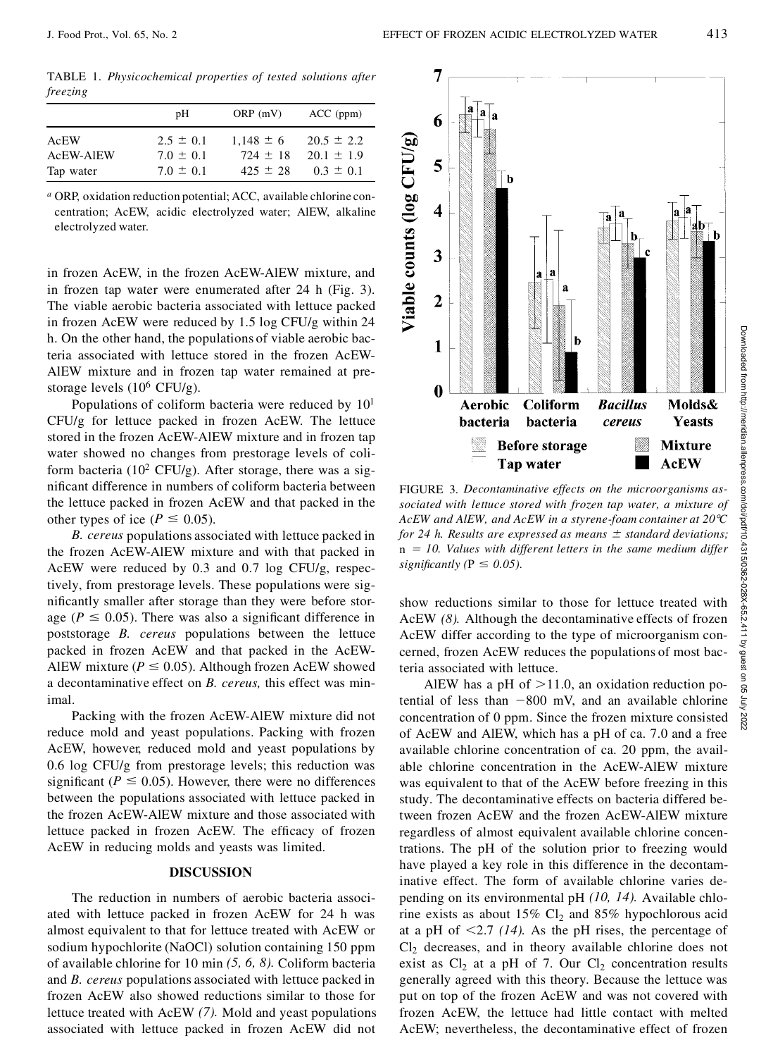TABLE 1. *Physicochemical properties of tested solutions after freezing*

|           | pН            | ORP(mV)       | $ACC$ (ppm)    |
|-----------|---------------|---------------|----------------|
| AcEW      | $2.5 \pm 0.1$ | $1.148 \pm 6$ | $20.5 \pm 2.2$ |
| AcEW-AIEW | $7.0 \pm 0.1$ | $724 \pm 18$  | $20.1 \pm 1.9$ |
| Tap water | $7.0 + 0.1$   | $425 + 28$    | $0.3 + 0.1$    |

*<sup>a</sup>* ORP, oxidation reduction potential; ACC, available chlorine con centration; AcEW, acidic electrolyzed water; AlEW, alkaline electrolyzed water.

in frozen AcEW, in the frozen AcEW-AlEW mixture, and in frozen tap water were enumerated after 24 h (Fig. 3). The viable aerobic bacteria associated with lettuce packed in frozen AcEW were reduced by 1.5 log CFU/g within 24 h. On the other hand, the populations of viable aerobic bacteria associated with lettuce stored in the frozen AcEW- AlEW mixture and in frozen tap water remained at prestorage levels  $(10^6 \text{ CFU/g}).$ 

Populations of coliform bacteria were reduced by 10<sup>1</sup> CFU/g for lettuce packed in frozen AcEW. The lettuce stored in the frozen AcEW-AlEW mixture and in frozen tap water showed no changes from prestorage levels of coliform bacteria ( $10^2$  CFU/g). After storage, there was a significant difference in numbers of coliform bacteria between the lettuce packed in frozen AcEW and that packed in the other types of ice ( $P \le 0.05$ ).

*B. cereus* populations associated with lettuce packed in the frozen AcEW-AlEW mixture and with that packed in AcEW were reduced by 0.3 and 0.7 log CFU/g, respectively, from prestorage levels. These populations were significantly smaller after storage than they were before storage ( $P \le 0.05$ ). There was also a significant difference in poststorage *B. cereus* populations between the lettuce packed in frozen AcEW and that packed in the AcEW- AlEW mixture ( $P \le 0.05$ ). Although frozen AcEW showed a decontaminative effect on *B. cereus,* this effect was minimal.

Packing with the frozen AcEW-AlEW mixture did not reduce mold and yeast populations. Packing with frozen AcEW, however, reduced mold and yeast populations by 0.6 log CFU/g from prestorage levels; this reduction was significant ( $P \le 0.05$ ). However, there were no differences between the populations associated with lettuce packed in the frozen AcEW-AlEW mixture and those associated with lettuce packed in frozen AcEW. The efficacy of frozen AcEW in reducing molds and yeasts was limited.

#### **DISCUSSION**

The reduction in numbers of aerobic bacteria associated with lettuce packed in frozen AcEW for 24 h was almost equivalent to that for lettuce treated with AcEW or sodium hypochlorite (NaOCl) solution containing 150 ppm of available chlorine for 10 min *(5, 6, 8).* Coliform bacteria and *B. cereus* populations associated with lettuce packed in frozen AcEW also showed reductions similar to those for lettuce treated with AcEW *(7).* Mold and yeast populations associated with lettuce packed in frozen AcEW did not



FIGURE 3. *Decontaminative effects on the microorganisms as-AcEW and AlEW, and AcEW ina styrene-foam container at 208C for* 24 *h.* Results are expressed as means  $\pm$  standard deviations; n *5 10. Values with different letters in the same medium differ significantly* ( $P \leq 0.05$ ).

show reductions similar to those for lettuce treated with AcEW *(8).* Although the decontaminative effects of frozen AcEW differ according to the type of microorganism concerned, frozen AcEW reduces the populations of most bacteria associated with lettuce.

AlEW has a pH of  $>11.0$ , an oxidation reduction potential of less than  $-800$  mV, and an available chlorine concentration of 0 ppm. Since the frozen mixture consisted of AcEW and AlEW, which has a pH of ca. 7.0 and a free available chlorine concentration of ca. 20 ppm, the available chlorine concentration in the AcEW-AlEW mixture was equivalent to that of the AcEW before freezing in this study. The decontaminative effects on bacteria differed between frozen AcEW and the frozen AcEW-AlEW mixture regardless of almost equivalent available chlorine concentrations. The pH of the solution prior to freezing would have played a key role in this difference in the decontaminative effect. The form of available chlorine varies depending on its environmental pH *(10, 14).* Available chlorine exists as about  $15\%$  Cl<sub>2</sub> and  $85\%$  hypochlorous acid at a pH of  $\leq$ 2.7 *(14)*. As the pH rises, the percentage of  $Cl<sub>2</sub>$  decreases, and in theory available chlorine does not exist as  $Cl_2$  at a pH of 7. Our  $Cl_2$  concentration results generally agreed with this theory. Because the lettuce was put on top of the frozen AcEW and was not covered with frozen AcEW, the lettuce had little contact with melted AcEW; nevertheless, the decontaminative effect of frozen